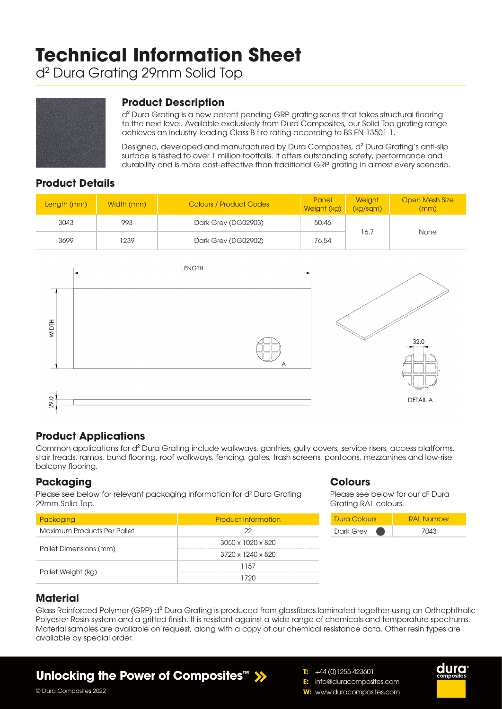# **Technical Information Sheet**

d2 Dura Grating 29mm Solid Top



## **Product Description**

d² Dura Grating is a new patent pending GRP grating series that takes structural flooring to the next level. Available exclusively from Dura Composites, our Solid Top grating range achieves an industry-leading Class B fire rating according to BS EN 13501-1.

Designed, developed and manufactured by Dura Composites, d² Dura Grating's anti-slip surface is tested to over 1 million footfalls. It offers outstanding safety, performance and durability and is more cost-effective than traditional GRP grating in almost every scenario.

## **Product Details**

| Length (mm) | Width (mm) | <b>Colours / Product Codes</b> | Panel<br>Weight (kg) | <b>Weight</b><br>(kg/sgm) | <b>Open Mesh Size</b><br>(mm) |  |
|-------------|------------|--------------------------------|----------------------|---------------------------|-------------------------------|--|
| 3043        | 993        | Dark Grey (DG02903)<br>50.46   |                      |                           |                               |  |
| 3699        | 1239       | Dark Grey (DG02902)            | 76.54                | 16.7                      | None                          |  |



## **Product Applications**

Common applications for d² Dura Grating include walkways, gantries, gully covers, service risers, access platforms, stair treads, ramps, bund flooring, roof walkways, fencing, gates, trash screens, pontoons, mezzanines and low-rise balcony flooring.

## **Packaging**

Please see below for relevant packaging information for d<sup>2</sup> Dura Grating 29mm Solid Top.

| Packaging                   | <b>Product Information</b>    |  |  |  |
|-----------------------------|-------------------------------|--|--|--|
| Maximum Products Per Pallet | 22                            |  |  |  |
|                             | 3050 x 1020 x 820             |  |  |  |
| Pallet Dimensions (mm)      | $3720 \times 1240 \times 820$ |  |  |  |
|                             | 1157                          |  |  |  |
| Pallet Weight (kg)          | 1720                          |  |  |  |

## **Colours**

Please see below for our d<sup>2</sup> Dura Grating RAL colours.

| Dura Colours | <b>RAI Number</b> |  |  |  |
|--------------|-------------------|--|--|--|
| Dark Grey    | 7043              |  |  |  |

## **Material**

Glass Reinforced Polymer (GRP) d<sup>2</sup> Dura Grating is produced from glassfibres laminated together using an Orthophthalic Polyester Resin system and a gritted finish. It is resistant against a wide range of chemicals and temperature spectrums. Material samples are available on request, along with a copy of our chemical resistance data. Other resin types are available by special order.

## **Unlocking the Power of Composites™**





© Dura Composites 2022